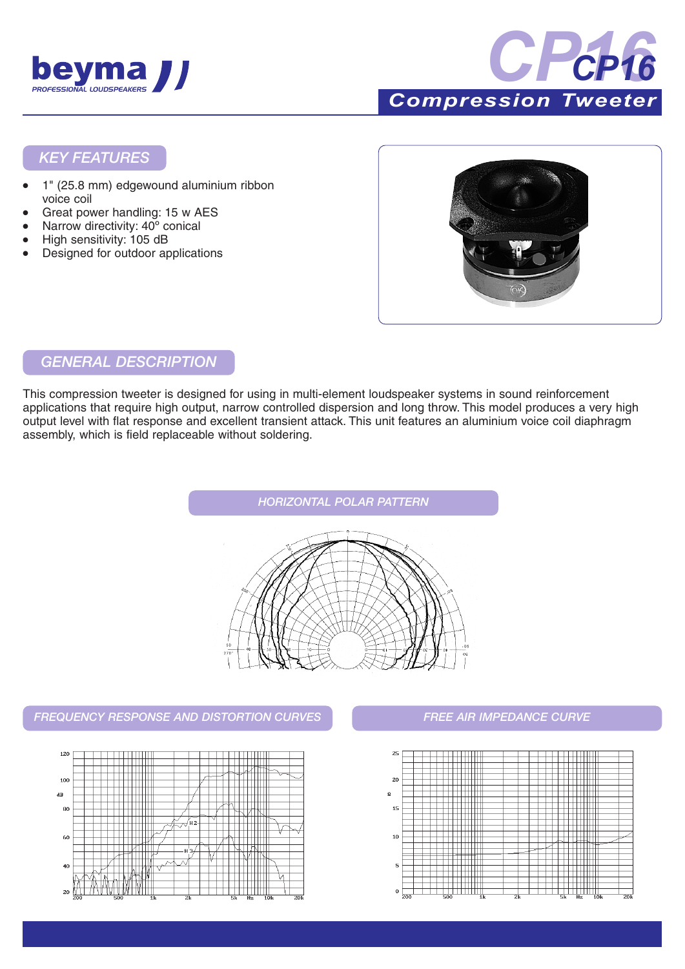



*Compression Tweeter* 

#### *KEY FEATURES*

- 1" (25.8 mm) edgewound aluminium ribbon voice coil
- Great power handling: 15 w AES
- Narrow directivity: 40° conical
- High sensitivity: 105 dB
- Designed for outdoor applications



#### *GENERAL DESCRIPTION*

This compression tweeter is designed for using in multi-element loudspeaker systems in sound reinforcement applications that require high output, narrow controlled dispersion and long throw. This model produces a very high output level with flat response and excellent transient attack. This unit features an aluminium voice coil diaphragm assembly, which is field replaceable without soldering.



#### *FREQUENCY RESPONSE AND DISTORTION CURVES FREE AIR IMPEDANCE CURVE*